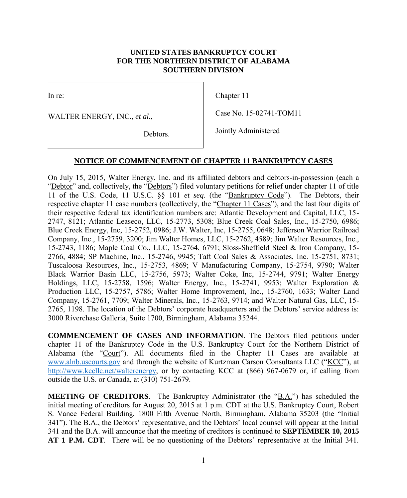## **UNITED STATES BANKRUPTCY COURT FOR THE NORTHERN DISTRICT OF ALABAMA SOUTHERN DIVISION**

In re:

WALTER ENERGY, INC., *et al.*,

Chapter 11

Case No. 15-02741-TOM11

Debtors.

Jointly Administered

## **NOTICE OF COMMENCEMENT OF CHAPTER 11 BANKRUPTCY CASES**

On July 15, 2015, Walter Energy, Inc. and its affiliated debtors and debtors-in-possession (each a "Debtor" and, collectively, the "Debtors") filed voluntary petitions for relief under chapter 11 of title 11 of the U.S. Code, 11 U.S.C. §§ 101 *et seq*. (the "Bankruptcy Code"). The Debtors, their respective chapter 11 case numbers (collectively, the "Chapter 11 Cases"), and the last four digits of their respective federal tax identification numbers are: Atlantic Development and Capital, LLC, 15- 2747, 8121; Atlantic Leaseco, LLC, 15-2773, 5308; Blue Creek Coal Sales, Inc., 15-2750, 6986; Blue Creek Energy, Inc, 15-2752, 0986; J.W. Walter, Inc, 15-2755, 0648; Jefferson Warrior Railroad Company, Inc., 15-2759, 3200; Jim Walter Homes, LLC, 15-2762, 4589; Jim Walter Resources, Inc., 15-2743, 1186; Maple Coal Co., LLC, 15-2764, 6791; Sloss-Sheffield Steel & Iron Company, 15- 2766, 4884; SP Machine, Inc., 15-2746, 9945; Taft Coal Sales & Associates, Inc. 15-2751, 8731; Tuscaloosa Resources, Inc., 15-2753, 4869; V Manufacturing Company, 15-2754, 9790; Walter Black Warrior Basin LLC, 15-2756, 5973; Walter Coke, Inc, 15-2744, 9791; Walter Energy Holdings, LLC, 15-2758, 1596; Walter Energy, Inc., 15-2741, 9953; Walter Exploration  $\&$ Production LLC, 15-2757, 5786; Walter Home Improvement, Inc., 15-2760, 1633; Walter Land Company, 15-2761, 7709; Walter Minerals, Inc., 15-2763, 9714; and Walter Natural Gas, LLC, 15- 2765, 1198. The location of the Debtors' corporate headquarters and the Debtors' service address is: 3000 Riverchase Galleria, Suite 1700, Birmingham, Alabama 35244. **TED STATES BANKRIFTCY COURT**<br> **CONTIFIERN DISTINCT OF ALABAMA**<br> **CONTIFIERN DIVISION**<br>
Chapter 11<br> *C.*<br>
Courte **CONTIFIERN DIVISION**<br>
Chapter 11<br> *C.*<br> *Conserved Filed: 700 CHAPTER 11 BANKRIFTPTCY CASES<br>
gy. Ine. and i* 

**COMMENCEMENT OF CASES AND INFORMATION**. The Debtors filed petitions under chapter 11 of the Bankruptcy Code in the U.S. Bankruptcy Court for the Northern District of Alabama (the "Court"). All documents filed in the Chapter 11 Cases are available at [www.alnb.uscourts.gov](http://www.alnb.uscourts.gov/) and through the website of Kurtzman Carson Consultants LLC ("KCC"), at [http://www.kccllc.net/walterenergy,](http://www.kccllc.net/walterenergy%3chttp:/www.kccllc.net/walterenergy) or by contacting KCC at (866) 967-0679 or, if calling from outside the U.S. or Canada, at (310) 751-2679.

**MEETING OF CREDITORS**. The Bankruptcy Administrator (the "B.A.") has scheduled the initial meeting of creditors for August 20, 2015 at 1 p.m. CDT at the U.S. Bankruptcy Court, Robert S. Vance Federal Building, 1800 Fifth Avenue North, Birmingham, Alabama 35203 (the "Initial 341"). The B.A., the Debtors' representative, and the Debtors' local counsel will appear at the Initial 341 and the B.A. will announce that the meeting of creditors is continued to **SEPTEMBER 10, 2015 AT 1 P.M. CDT**. There will be no questioning of the Debtors' representative at the Initial 341.